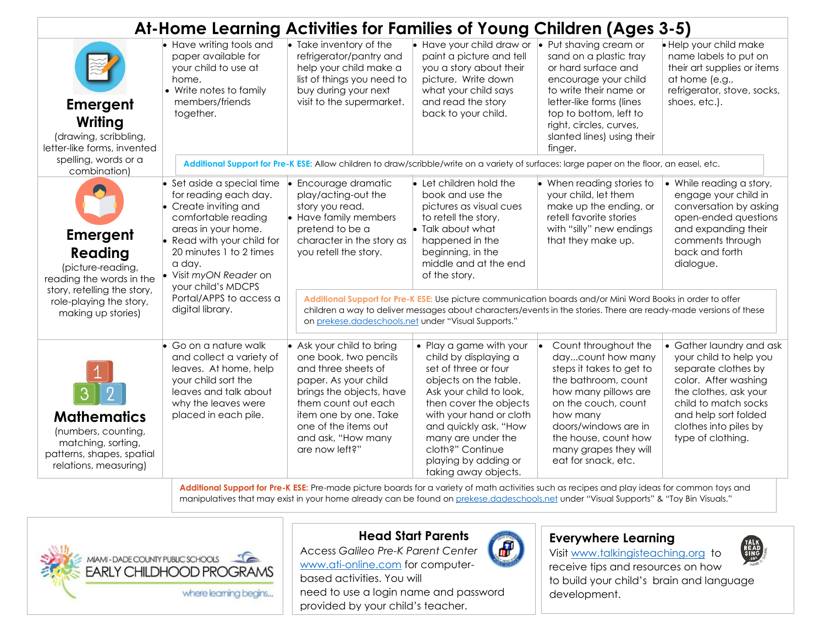| At-Home Learning Activities for Families of Young Children (Ages 3-5)                                                 |                                                                                                                                                                                                                                                             |                                                                                                                                                                                                                                                                                         |                                                                                                                                                                                                                                                                                                      |                                                                                                                                                                                                                                                             |                                                                                                                                                                                                                          |  |  |  |
|-----------------------------------------------------------------------------------------------------------------------|-------------------------------------------------------------------------------------------------------------------------------------------------------------------------------------------------------------------------------------------------------------|-----------------------------------------------------------------------------------------------------------------------------------------------------------------------------------------------------------------------------------------------------------------------------------------|------------------------------------------------------------------------------------------------------------------------------------------------------------------------------------------------------------------------------------------------------------------------------------------------------|-------------------------------------------------------------------------------------------------------------------------------------------------------------------------------------------------------------------------------------------------------------|--------------------------------------------------------------------------------------------------------------------------------------------------------------------------------------------------------------------------|--|--|--|
| <b>Emergent</b><br>Writing<br>(drawing, scribbling,<br>letter-like forms, invented                                    | $\overline{\bullet}$ Have writing tools and<br>paper available for<br>your child to use at<br>home.<br>• Write notes to family<br>members/friends<br>together.                                                                                              | $\bullet$ Take inventory of the<br>refrigerator/pantry and<br>help your child make a<br>list of things you need to<br>buy during your next<br>visit to the supermarket.                                                                                                                 | Have your child draw or<br>paint a picture and tell<br>you a story about their<br>picture. Write down<br>what your child says<br>and read the story<br>back to your child.                                                                                                                           | $\bullet$ Put shaving cream or<br>sand on a plastic tray<br>or hard surface and<br>encourage your child<br>to write their name or<br>letter-like forms (lines<br>top to bottom, left to<br>right, circles, curves,<br>slanted lines) using their<br>finger. | • Help your child make<br>name labels to put on<br>their art supplies or items<br>at home (e.g.,<br>refrigerator, stove, socks,<br>shoes, etc.).                                                                         |  |  |  |
| spelling, words or a<br>combination)                                                                                  | Additional Support for Pre-K ESE: Allow children to draw/scribble/write on a variety of surfaces: large paper on the floor, an easel, etc.                                                                                                                  |                                                                                                                                                                                                                                                                                         |                                                                                                                                                                                                                                                                                                      |                                                                                                                                                                                                                                                             |                                                                                                                                                                                                                          |  |  |  |
| <b>Emergent</b><br>Reading<br>(picture-reading,<br>reading the words in the<br>story, retelling the story,            | $\bullet$ Set aside a special time<br>for reading each day.<br>$\bullet$ Create inviting and<br>comfortable reading<br>areas in your home.<br>• Read with your child for<br>20 minutes 1 to 2 times<br>a day.<br>Visit myON Reader on<br>your child's MDCPS | Encourage dramatic<br>play/acting-out the<br>story you read.<br>• Have family members<br>pretend to be a<br>character in the story as<br>you retell the story.                                                                                                                          | Let children hold the<br>book and use the<br>pictures as visual cues<br>to retell the story.<br>$\bullet$ Talk about what<br>happened in the<br>beginning, in the<br>middle and at the end<br>of the story.                                                                                          | $\bullet$ When reading stories to<br>your child, let them<br>make up the ending, or<br>retell favorite stories<br>with "silly" new endings<br>that they make up.                                                                                            | • While reading a story,<br>engage your child in<br>conversation by asking<br>open-ended questions<br>and expanding their<br>comments through<br>back and forth<br>dialogue.                                             |  |  |  |
| role-playing the story,<br>making up stories)                                                                         | Portal/APPS to access a<br>digital library.                                                                                                                                                                                                                 | Additional Support for Pre-K ESE: Use picture communication boards and/or Mini Word Books in order to offer<br>children a way to deliver messages about characters/events in the stories. There are ready-made versions of these<br>on prekese.dadeschools.net under "Visual Supports." |                                                                                                                                                                                                                                                                                                      |                                                                                                                                                                                                                                                             |                                                                                                                                                                                                                          |  |  |  |
| <b>Mathematics</b><br>(numbers, counting,<br>matching, sorting,<br>patterns, shapes, spatial<br>relations, measuring) | $\bullet$ Go on a nature walk<br>and collect a variety of<br>leaves. At home, help<br>your child sort the<br>leaves and talk about<br>why the leaves were<br>placed in each pile.                                                                           | • Ask your child to bring<br>one book, two pencils<br>and three sheets of<br>paper. As your child<br>brings the objects, have<br>them count out each<br>item one by one. Take<br>one of the items out<br>and ask, "How many<br>are now left?"                                           | • Play a game with your<br>child by displaying a<br>set of three or four<br>objects on the table.<br>Ask your child to look,<br>then cover the objects<br>with your hand or cloth<br>and quickly ask, "How<br>many are under the<br>cloth?" Continue<br>playing by adding or<br>taking away objects. | Count throughout the<br>daycount how many<br>steps it takes to get to<br>the bathroom, count<br>how many pillows are<br>on the couch, count<br>how many<br>doors/windows are in<br>the house, count how<br>many grapes they will<br>eat for snack, etc.     | • Gather laundry and ask<br>your child to help you<br>separate clothes by<br>color. After washing<br>the clothes, ask your<br>child to match socks<br>and help sort folded<br>clothes into piles by<br>type of clothing. |  |  |  |

**Additional Support for Pre-K ESE:** Pre-made picture boards for a variety of math activities such as recipes and play ideas for common toys and manipulatives that may exist in your home already can be found o[n prekese.dadeschools.net](prekese.dadeschools.net) under "Visual Supports" & "Toy Bin Visuals."





Access *Galileo Pre-K Parent Center* [www.ati-online.com](http://www.ati-online.com/) for computer-

based activities. You will need to use a login name and password provided by your child's teacher.



## **Everywhere Learning**

Visit [www.talkingisteaching.org](http://www.talkingisteaching.org/) to



receive tips and resources on how to build your child's brain and language development.